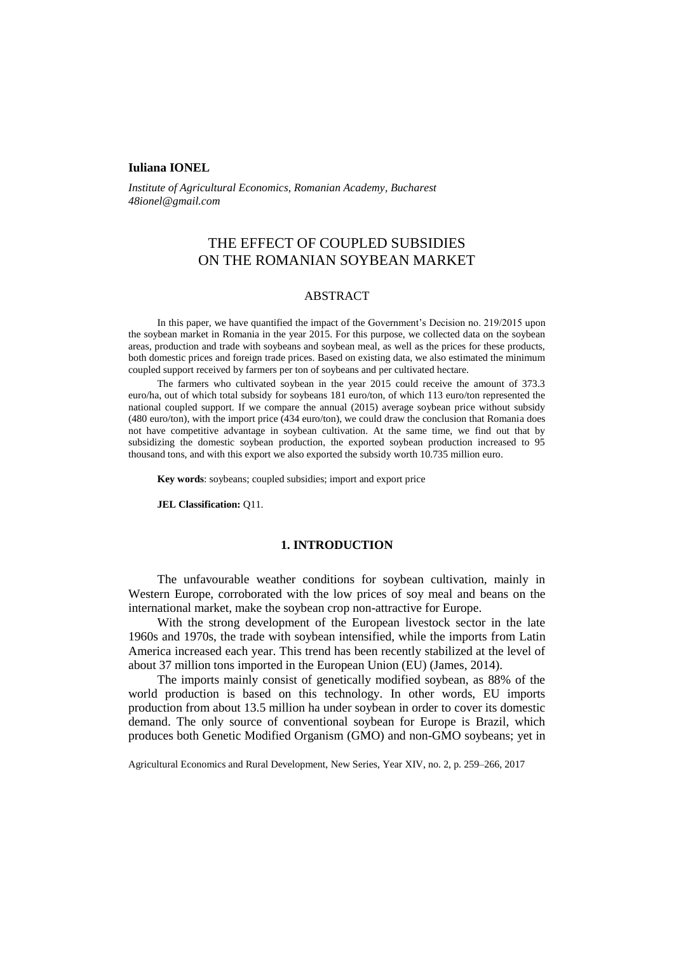### **Iuliana IONEL**

*Institute of Agricultural Economics, Romanian Academy, Bucharest 48ionel@gmail.com*

# THE EFFECT OF COUPLED SUBSIDIES ON THE ROMANIAN SOYBEAN MARKET

### ABSTRACT

In this paper, we have quantified the impact of the Government's Decision no. 219/2015 upon the soybean market in Romania in the year 2015. For this purpose, we collected data on the soybean areas, production and trade with soybeans and soybean meal, as well as the prices for these products, both domestic prices and foreign trade prices. Based on existing data, we also estimated the minimum coupled support received by farmers per ton of soybeans and per cultivated hectare.

The farmers who cultivated soybean in the year 2015 could receive the amount of 373.3 euro/ha, out of which total subsidy for soybeans 181 euro/ton, of which 113 euro/ton represented the national coupled support. If we compare the annual (2015) average soybean price without subsidy (480 euro/ton), with the import price (434 euro/ton), we could draw the conclusion that Romania does not have competitive advantage in soybean cultivation. At the same time, we find out that by subsidizing the domestic soybean production, the exported soybean production increased to 95 thousand tons, and with this export we also exported the subsidy worth 10.735 million euro.

**Key words**: soybeans; coupled subsidies; import and export price

**JEL Classification:** Q11.

### **1. INTRODUCTION**

The unfavourable weather conditions for soybean cultivation, mainly in Western Europe, corroborated with the low prices of soy meal and beans on the international market, make the soybean crop non-attractive for Europe.

With the strong development of the European livestock sector in the late 1960s and 1970s, the trade with soybean intensified, while the imports from Latin America increased each year. This trend has been recently stabilized at the level of about 37 million tons imported in the European Union (EU) (James, 2014).

The imports mainly consist of genetically modified soybean, as 88% of the world production is based on this technology. In other words, EU imports production from about 13.5 million ha under soybean in order to cover its domestic demand. The only source of conventional soybean for Europe is Brazil, which produces both Genetic Modified Organism (GMO) and non-GMO soybeans; yet in

Agricultural Economics and Rural Development, New Series, Year XIV, no. 2, p. 259–266, 2017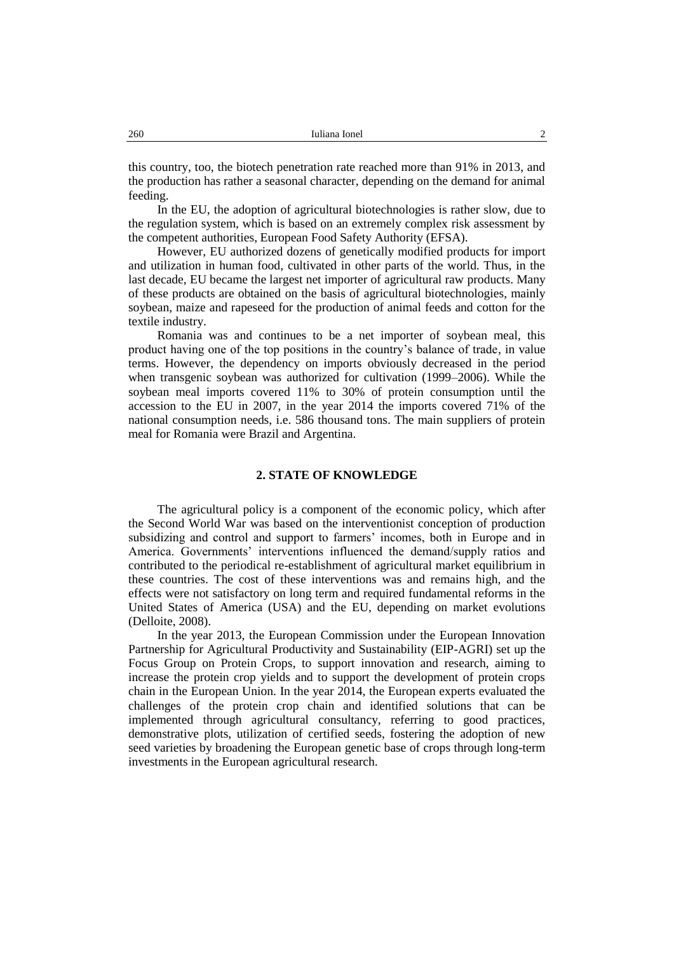this country, too, the biotech penetration rate reached more than 91% in 2013, and the production has rather a seasonal character, depending on the demand for animal feeding.

In the EU, the adoption of agricultural biotechnologies is rather slow, due to the regulation system, which is based on an extremely complex risk assessment by the competent authorities, European Food Safety Authority (EFSA).

However, EU authorized dozens of genetically modified products for import and utilization in human food, cultivated in other parts of the world. Thus, in the last decade, EU became the largest net importer of agricultural raw products. Many of these products are obtained on the basis of agricultural biotechnologies, mainly soybean, maize and rapeseed for the production of animal feeds and cotton for the textile industry.

Romania was and continues to be a net importer of soybean meal, this product having one of the top positions in the country's balance of trade, in value terms. However, the dependency on imports obviously decreased in the period when transgenic soybean was authorized for cultivation (1999–2006). While the soybean meal imports covered 11% to 30% of protein consumption until the accession to the EU in 2007, in the year 2014 the imports covered 71% of the national consumption needs, i.e. 586 thousand tons. The main suppliers of protein meal for Romania were Brazil and Argentina.

### **2. STATE OF KNOWLEDGE**

The agricultural policy is a component of the economic policy, which after the Second World War was based on the interventionist conception of production subsidizing and control and support to farmers' incomes, both in Europe and in America. Governments' interventions influenced the demand/supply ratios and contributed to the periodical re-establishment of agricultural market equilibrium in these countries. The cost of these interventions was and remains high, and the effects were not satisfactory on long term and required fundamental reforms in the United States of America (USA) and the EU, depending on market evolutions (Delloite, 2008).

In the year 2013, the European Commission under the European Innovation Partnership for Agricultural Productivity and Sustainability (EIP-AGRI) set up the Focus Group on Protein Crops, to support innovation and research, aiming to increase the protein crop yields and to support the development of protein crops chain in the European Union. In the year 2014, the European experts evaluated the challenges of the protein crop chain and identified solutions that can be implemented through agricultural consultancy, referring to good practices, demonstrative plots, utilization of certified seeds, fostering the adoption of new seed varieties by broadening the European genetic base of crops through long-term investments in the European agricultural research.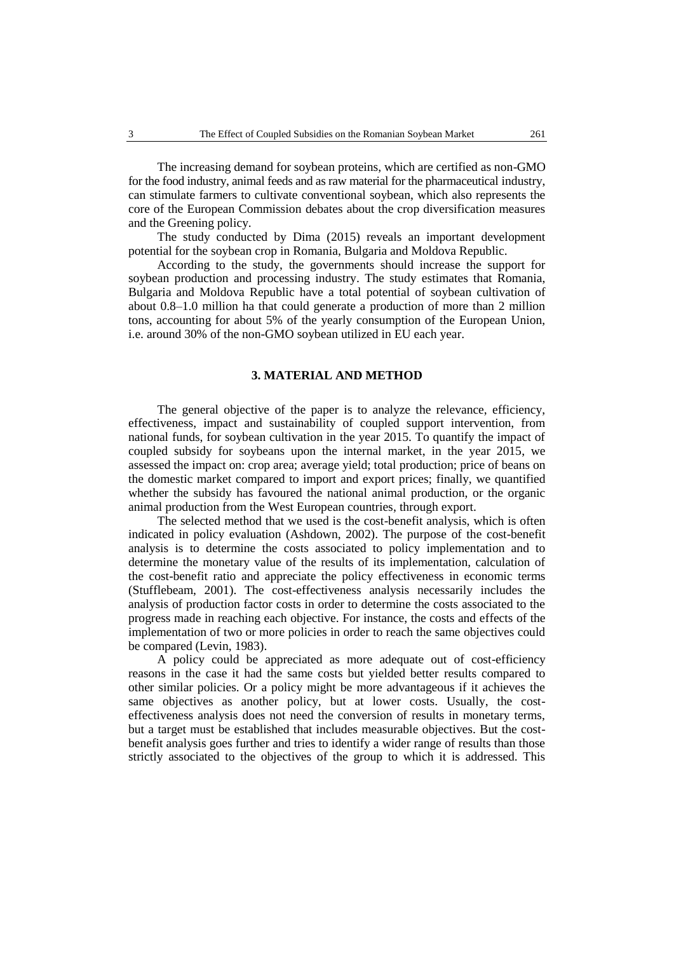The increasing demand for soybean proteins, which are certified as non-GMO for the food industry, animal feeds and as raw material for the pharmaceutical industry, can stimulate farmers to cultivate conventional soybean, which also represents the core of the European Commission debates about the crop diversification measures and the Greening policy.

The study conducted by Dima (2015) reveals an important development potential for the soybean crop in Romania, Bulgaria and Moldova Republic.

According to the study, the governments should increase the support for soybean production and processing industry. The study estimates that Romania, Bulgaria and Moldova Republic have a total potential of soybean cultivation of about 0.8–1.0 million ha that could generate a production of more than 2 million tons, accounting for about 5% of the yearly consumption of the European Union, i.e. around 30% of the non-GMO soybean utilized in EU each year.

### **3. MATERIAL AND METHOD**

The general objective of the paper is to analyze the relevance, efficiency, effectiveness, impact and sustainability of coupled support intervention, from national funds, for soybean cultivation in the year 2015. To quantify the impact of coupled subsidy for soybeans upon the internal market, in the year 2015, we assessed the impact on: crop area; average yield; total production; price of beans on the domestic market compared to import and export prices; finally, we quantified whether the subsidy has favoured the national animal production, or the organic animal production from the West European countries, through export.

The selected method that we used is the cost-benefit analysis, which is often indicated in policy evaluation (Ashdown, 2002). The purpose of the cost-benefit analysis is to determine the costs associated to policy implementation and to determine the monetary value of the results of its implementation, calculation of the cost-benefit ratio and appreciate the policy effectiveness in economic terms (Stufflebeam, 2001). The cost-effectiveness analysis necessarily includes the analysis of production factor costs in order to determine the costs associated to the progress made in reaching each objective. For instance, the costs and effects of the implementation of two or more policies in order to reach the same objectives could be compared (Levin, 1983).

A policy could be appreciated as more adequate out of cost-efficiency reasons in the case it had the same costs but yielded better results compared to other similar policies. Or a policy might be more advantageous if it achieves the same objectives as another policy, but at lower costs. Usually, the costeffectiveness analysis does not need the conversion of results in monetary terms, but a target must be established that includes measurable objectives. But the costbenefit analysis goes further and tries to identify a wider range of results than those strictly associated to the objectives of the group to which it is addressed. This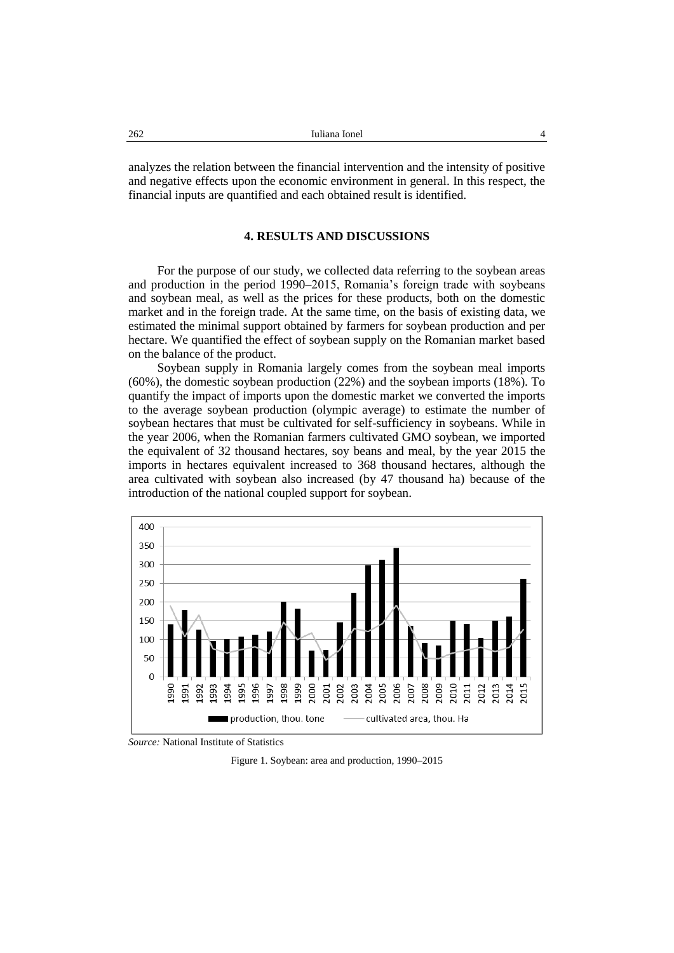analyzes the relation between the financial intervention and the intensity of positive and negative effects upon the economic environment in general. In this respect, the financial inputs are quantified and each obtained result is identified.

## **4. RESULTS AND DISCUSSIONS**

For the purpose of our study, we collected data referring to the soybean areas and production in the period 1990–2015, Romania's foreign trade with soybeans and soybean meal, as well as the prices for these products, both on the domestic market and in the foreign trade. At the same time, on the basis of existing data, we estimated the minimal support obtained by farmers for soybean production and per hectare. We quantified the effect of soybean supply on the Romanian market based on the balance of the product.

Soybean supply in Romania largely comes from the soybean meal imports (60%), the domestic soybean production (22%) and the soybean imports (18%). To quantify the impact of imports upon the domestic market we converted the imports to the average soybean production (olympic average) to estimate the number of soybean hectares that must be cultivated for self-sufficiency in soybeans. While in the year 2006, when the Romanian farmers cultivated GMO soybean, we imported the equivalent of 32 thousand hectares, soy beans and meal, by the year 2015 the imports in hectares equivalent increased to 368 thousand hectares, although the area cultivated with soybean also increased (by 47 thousand ha) because of the introduction of the national coupled support for soybean.



*Source:* National Institute of Statistics

Figure 1. Soybean: area and production, 1990–2015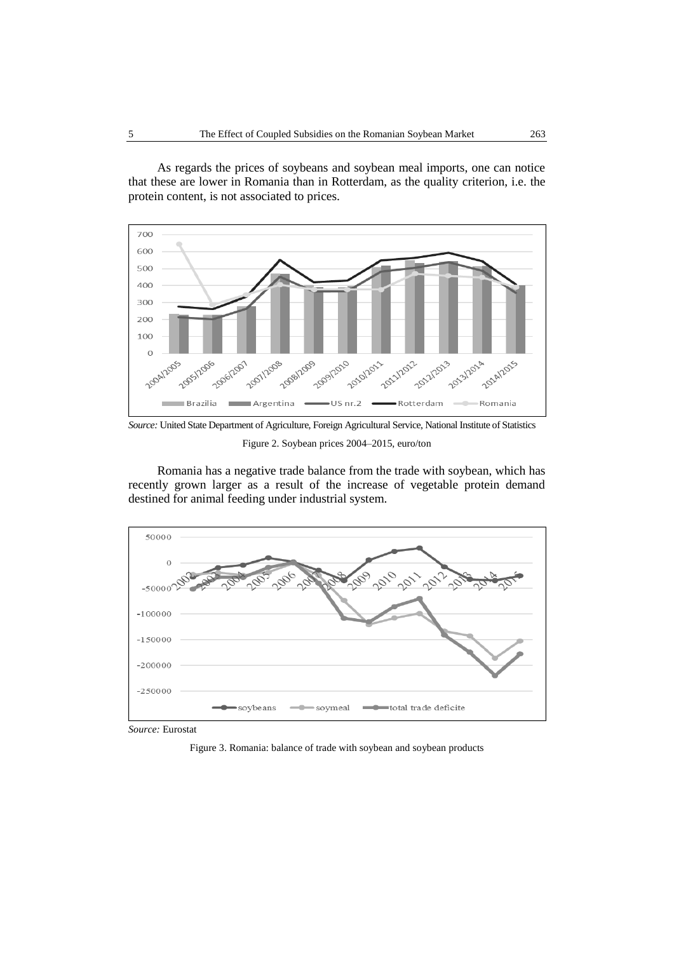As regards the prices of soybeans and soybean meal imports, one can notice that these are lower in Romania than in Rotterdam, as the quality criterion, i.e. the protein content, is not associated to prices.



*Source:* United State Department of Agriculture, Foreign Agricultural Service, National Institute of Statistics Figure 2. Soybean prices 2004–2015, euro/ton

Romania has a negative trade balance from the trade with soybean, which has recently grown larger as a result of the increase of vegetable protein demand destined for animal feeding under industrial system.



*Source:* Eurostat

Figure 3. Romania: balance of trade with soybean and soybean products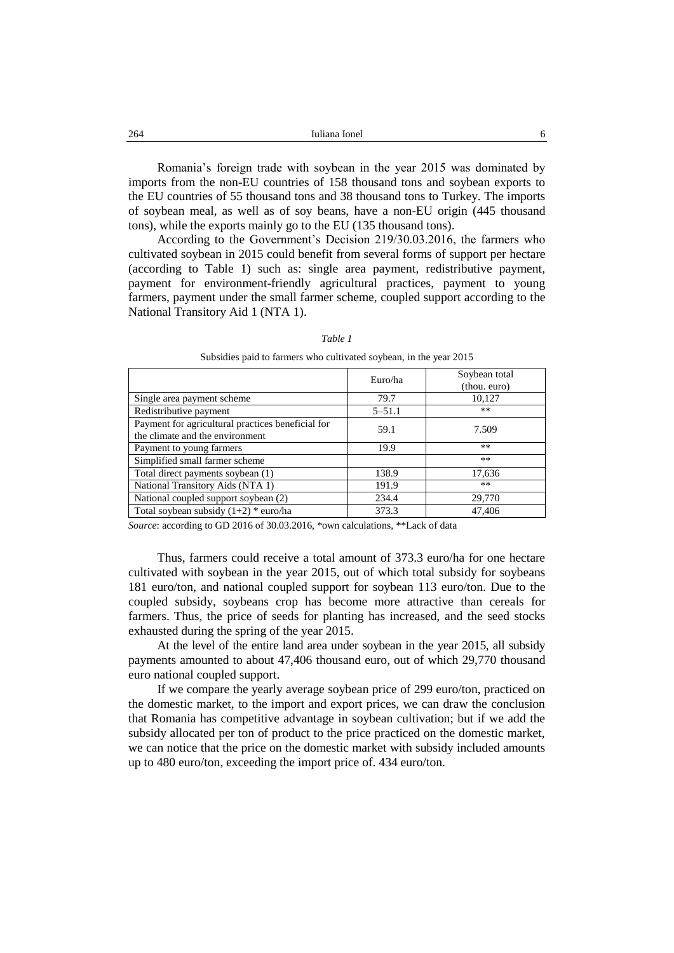| 264<br>____ | Iuliana Ionel |  |
|-------------|---------------|--|
|             |               |  |

Romania's foreign trade with soybean in the year 2015 was dominated by imports from the non-EU countries of 158 thousand tons and soybean exports to the EU countries of 55 thousand tons and 38 thousand tons to Turkey. The imports of soybean meal, as well as of soy beans, have a non-EU origin (445 thousand tons), while the exports mainly go to the EU (135 thousand tons).

According to the Government's Decision 219/30.03.2016, the farmers who cultivated soybean in 2015 could benefit from several forms of support per hectare (according to Table 1) such as: single area payment, redistributive payment, payment for environment-friendly agricultural practices, payment to young farmers, payment under the small farmer scheme, coupled support according to the National Transitory Aid 1 (NTA 1).

#### *Table 1*

|                                                                                      | Euro/ha    | Soybean total<br>(thou. euro) |
|--------------------------------------------------------------------------------------|------------|-------------------------------|
| Single area payment scheme                                                           | 79.7       | 10,127                        |
| Redistributive payment                                                               | $5 - 51.1$ | **                            |
| Payment for agricultural practices beneficial for<br>the climate and the environment | 59.1       | 7.509                         |
| Payment to young farmers                                                             | 19.9       | $**$                          |
| Simplified small farmer scheme                                                       |            | $***$                         |
| Total direct payments soybean (1)                                                    | 138.9      | 17,636                        |
| National Transitory Aids (NTA 1)                                                     | 191.9      | $***$                         |
| National coupled support soybean (2)                                                 | 234.4      | 29,770                        |
| Total soybean subsidy $(1+2)$ * euro/ha                                              | 373.3      | 47.406                        |

Subsidies paid to farmers who cultivated soybean, in the year 2015

*Source*: according to GD 2016 of 30.03.2016, \*own calculations, \*\*Lack of data

Thus, farmers could receive a total amount of 373.3 euro/ha for one hectare cultivated with soybean in the year 2015, out of which total subsidy for soybeans 181 euro/ton, and national coupled support for soybean 113 euro/ton. Due to the coupled subsidy, soybeans crop has become more attractive than cereals for farmers. Thus, the price of seeds for planting has increased, and the seed stocks exhausted during the spring of the year 2015.

At the level of the entire land area under soybean in the year 2015, all subsidy payments amounted to about 47,406 thousand euro, out of which 29,770 thousand euro national coupled support.

If we compare the yearly average soybean price of 299 euro/ton, practiced on the domestic market, to the import and export prices, we can draw the conclusion that Romania has competitive advantage in soybean cultivation; but if we add the subsidy allocated per ton of product to the price practiced on the domestic market, we can notice that the price on the domestic market with subsidy included amounts up to 480 euro/ton, exceeding the import price of. 434 euro/ton.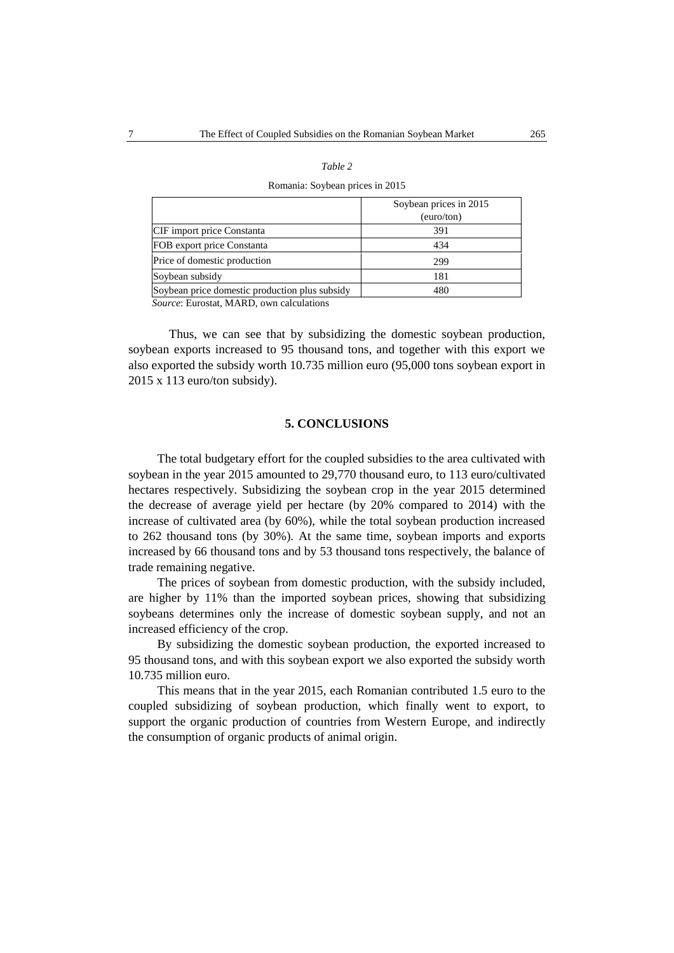#### *Table 2*

#### Romania: Soybean prices in 2015

|                                                | Soybean prices in 2015 |
|------------------------------------------------|------------------------|
|                                                | (euro/ton)             |
| CIF import price Constanta                     | 391                    |
| FOB export price Constanta                     | 434                    |
| Price of domestic production                   | 299                    |
| Soybean subsidy                                | 181                    |
| Soybean price domestic production plus subsidy | 480                    |
| $\sigma$ = $\sigma$ = $\sigma$                 |                        |

*Source*: Eurostat, MARD, own calculations

Thus, we can see that by subsidizing the domestic soybean production, soybean exports increased to 95 thousand tons, and together with this export we also exported the subsidy worth 10.735 million euro (95,000 tons soybean export in 2015 x 113 euro/ton subsidy).

#### **5. CONCLUSIONS**

The total budgetary effort for the coupled subsidies to the area cultivated with soybean in the year 2015 amounted to 29,770 thousand euro, to 113 euro/cultivated hectares respectively. Subsidizing the soybean crop in the year 2015 determined the decrease of average yield per hectare (by 20% compared to 2014) with the increase of cultivated area (by 60%), while the total soybean production increased to 262 thousand tons (by 30%). At the same time, soybean imports and exports increased by 66 thousand tons and by 53 thousand tons respectively, the balance of trade remaining negative.

The prices of soybean from domestic production, with the subsidy included, are higher by 11% than the imported soybean prices, showing that subsidizing soybeans determines only the increase of domestic soybean supply, and not an increased efficiency of the crop.

By subsidizing the domestic soybean production, the exported increased to 95 thousand tons, and with this soybean export we also exported the subsidy worth 10.735 million euro.

This means that in the year 2015, each Romanian contributed 1.5 euro to the coupled subsidizing of soybean production, which finally went to export, to support the organic production of countries from Western Europe, and indirectly the consumption of organic products of animal origin.